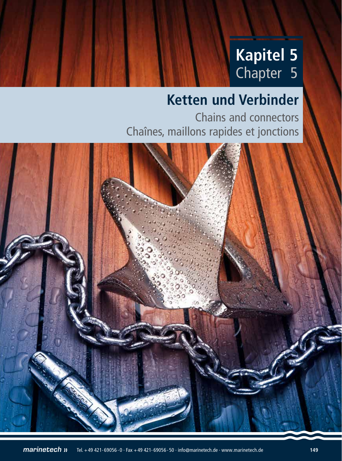# **Kapitel 5** Chapter 5

# **Ketten und Verbinder**

Chains and connectors Chaînes, maillons rapides et jonctions

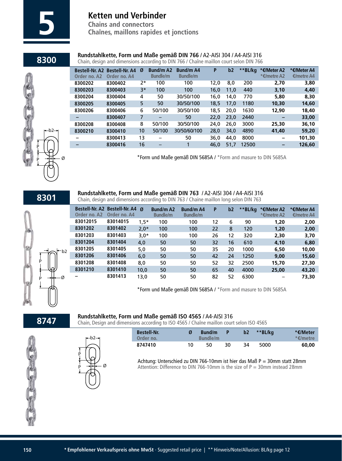

**Chains and connectors 5 Chaînes, maillons rapides et jonctions**

## **8300 <b>Rundstahlkette, Form und Maße gemäß DIN 766** / A2-AISI 304 / A4-AISI 316<br>Chain, design and dimensions according to DIN 766 / Chaîne maillon court selon DIN 766

Chain, design and dimensions according to DIN 766 / Chaîne maillon court selon DIN 766

| <b>Bestell-Nr. A2</b><br>Order no. A2 | <b>Bestell-Nr. A4</b><br>Order no. A4 | Ø    | <b>Bund/m A2</b><br><b>Bundle/m</b> | <b>Bund/m A4</b><br><b>Bundle/m</b> | P    | b2   | **BL/kg | *€/Meter A2<br>*€/metre A2 | *€/Meter A4<br>€/metre A4 |
|---------------------------------------|---------------------------------------|------|-------------------------------------|-------------------------------------|------|------|---------|----------------------------|---------------------------|
| 8300202                               | 8300402                               | 2*   | 100                                 | 100                                 | 12,0 | 8,0  | 200     | 2,70                       | 3,80                      |
| 8300203                               | 8300403                               | $3*$ | 100                                 | 100                                 | 16,0 | 11,0 | 440     | 3,10                       | 4,40                      |
| 8300204                               | 8300404                               | 4    | 50                                  | 30/50/100                           | 16,0 | 14,0 | 770     | 5,80                       | 8,30                      |
| 8300205                               | 8300405                               | 5    | 50                                  | 30/50/100                           | 18,5 | 17.0 | 1180    | 10,30                      | 14,60                     |
| 8300206                               | 8300406                               | 6    | 50/100                              | 30/50/100                           | 18.5 | 20.0 | 1630    | 12,90                      | 18,40                     |
|                                       | 8300407                               | 7    |                                     | 50                                  | 22.0 | 23.0 | 2440    |                            | 33,00                     |
| 8300208                               | 8300408                               | 8    | 50/100                              | 30/50/100                           | 24.0 | 26.0 | 3000    | 25,30                      | 36,10                     |
| 8300210                               | 8300410                               | 10   | 50/100                              | 30/50/60/100                        | 28,0 | 34.0 | 4890    | 41,40                      | 59,20                     |
|                                       | 8300413                               | 13   |                                     | 50                                  | 36,0 | 44,0 | 8000    | -                          | 101,30                    |
|                                       | 8300416                               | 16   |                                     |                                     | 46,0 | 51,7 | 12500   | -                          | 126,60                    |
|                                       |                                       |      |                                     |                                     |      |      |         |                            |                           |

\*Form und Maße gemäß DIN 5685A / \*Form and masure to DIN 5685A

**8301**

P

P

Ø

b2

h P p — † † — Ø

**Rundstahlkette, Form und Maße gemäß DIN 763** / A2-AISI 304 / A4-AISI 316 Chain, design and dimensions according to DIN 763 / Chaine maillon long selon DIN 763

| Order no. A2 | Bestell-Nr. A2 Bestell-Nr. A4<br>Order no. A4 | Ø      | <b>Bund/m A2</b><br><b>Bundle/m</b> | <b>Bund/m A4</b><br><b>Bundle/m</b> | P  | b2 | **BL/kg | *€/Meter A2<br>*€/metre A2 | *€/Meter A4<br>€/metre A4 |
|--------------|-----------------------------------------------|--------|-------------------------------------|-------------------------------------|----|----|---------|----------------------------|---------------------------|
| 83012015     | 83014015                                      | $1.5*$ | 100                                 | 100                                 | 12 | 6  | 90      | 1,20                       | 2,00                      |
| 8301202      | 8301402                                       | $2,0*$ | 100                                 | 100                                 | 22 | 8  | 120     | 1,20                       | 2,00                      |
| 8301203      | 8301403                                       | $3,0*$ | 100                                 | 100                                 | 26 | 12 | 320     | 2,30                       | 3,70                      |
| 8301204      | 8301404                                       | 4,0    | 50                                  | 50                                  | 32 | 16 | 610     | 4,10                       | 6,80                      |
| 8301205      | 8301405                                       | 5,0    | 50                                  | 50                                  | 35 | 20 | 1000    | 6,50                       | 10,00                     |
| 8301206      | 8301406                                       | 6,0    | 50                                  | 50                                  | 42 | 24 | 1250    | 9,00                       | 15,60                     |
| 8301208      | 8301408                                       | 8,0    | 50                                  | 50                                  | 52 | 32 | 2500    | 15,70                      | 27,30                     |
| 8301210      | 8301410                                       | 10.0   | 50                                  | 50                                  | 65 | 40 | 4000    | 25,00                      | 43,20                     |
|              | 8301413                                       | 13.0   | 50                                  | 50                                  | 82 | 52 | 6300    |                            | 73,30                     |

\*Form und Maße gemäß DIN 5685A / \*Form and masure to DIN 5685A

**8747**

### **Rundstahlkette, Form und Maße gemäß ISO 4565** / A4-AISI 316

Chain, Design and dimensions according to ISO 4565 / Chaîne maillon court selon ISO 4565

| <b>Bestell-Nr.</b><br>Order no. |    | Bund/m<br>Bundle/m |    | b <sub>2</sub> | **BL/ka | *€/Meter<br>$*$ $\epsilon$ /metre |
|---------------------------------|----|--------------------|----|----------------|---------|-----------------------------------|
| 8747410                         | 10 | 50                 | 30 | 34             | 5000    | 60,00                             |





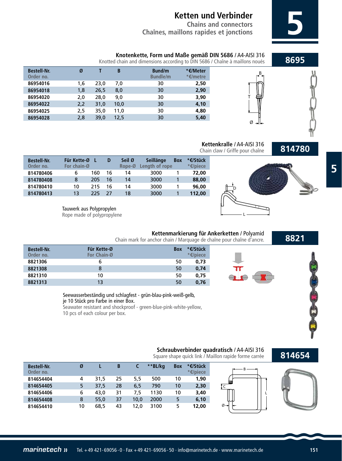**Chains and connectors Chaînes, maillons rapides et jonctions 5**

**Knotenkette, Form und Maße gemäß DIN 5686 / A4-AISI 316**<br>**Knotted chain and dimensions according to DIN 5686 / Chaîne à maillons noués** 

| <b>Bestell-Nr.</b><br>Order no. | Ø   |      | B    | Bund/m<br><b>Bundle/m</b> | *€/Meter<br>*€/metre |
|---------------------------------|-----|------|------|---------------------------|----------------------|
| 86954016                        | 1,6 | 23,0 | 7,0  | 30                        | 2,50                 |
| 86954018                        | 1,8 | 26,5 | 8,0  | 30                        | 2,90                 |
| 86954020                        | 2,0 | 28,0 | 9,0  | 30                        | 3,90                 |
| 86954022                        | 2,2 | 31,0 | 10,0 | 30                        | 4,10                 |
| 86954025                        | 2,5 | 35,0 | 11,0 | 30                        | 4,80                 |
| 86954028                        | 2,8 | 39,0 | 12,5 | 30                        | 5,40                 |
|                                 |     |      |      |                           |                      |

**Kettenkralle** / A4-AISI 316 Chain claw / Griffe pour chaîne

T

Ø

B





Tauwerk aus Polypropylen Rope made of polypropylene

### **8821**

### **Kettenmarkierung für Ankerketten** / Polyamid

Chain mark for anchor chain / Marquage de chaîne pour chaîne d'ancre.

**Für Kette-Ø** Box **\*€/Stück**<br>For Chain-Ø **Box 1999 For Chain-Ø**  6 50 **0,73** 8 50 **0,74** 10 50 **0,75** 13 50 **0,76 Bestell-Nr. Order no. 8821306 8821308 8821310 8821313**

Seewasserbeständig und schlagfest - grün-blau-pink-weiß-gelb, je 10 Stück pro Farbe in einer Box. Seawater resistant and shockproof - green-blue-pink-white-yellow, 10 pcs of each colour per box.

### **Schraubverbinder quadratisch** / A4-AISI 316

Square shape quick link / Maillon rapide forme carrée

### **814654**

| <b>Bestell-Nr.</b><br>Order no. | Ø  |      | B  |      | **BL/ka | <b>Box</b> | *€/Stück<br>*€/piece |
|---------------------------------|----|------|----|------|---------|------------|----------------------|
| 814654404                       | 4  | 31.5 | 25 | 5,5  | 500     | 10         | 1,90                 |
| 814654405                       | 5  | 37,5 | 28 | 6,5  | 790     | 10         | 2,30                 |
| 814654406                       | 6  | 43.0 | 31 | 7.5  | 1130    | 10         | 3,40                 |
| 814654408                       | 8  | 55,0 | 37 | 10,0 | 2000    | 5          | 6,10                 |
| 814654410                       | 10 | 68.5 | 43 | 12.0 | 3100    | 5          | 12,00                |





**5**

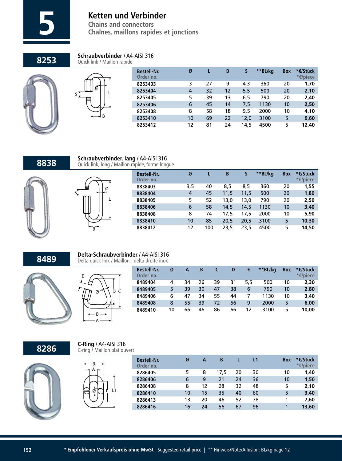

**Schraubverbinder** / A4-AISI 316

**Chaînes, maillons rapides et jonctions** 

**8253**





| <b>Bestell-Nr.</b><br>Order no. | Ø  |    | B  |     |      | <b>Box</b>   | *€/Stück<br>*€/piece |
|---------------------------------|----|----|----|-----|------|--------------|----------------------|
| 8253403                         | 3  | 27 | 9  | 4,3 | 360  | 20           | 1,70                 |
| 8253404                         | 4  | 32 | 12 | 5,5 | 500  | 20           | 2,10                 |
| 8253405                         | 5  | 39 | 13 | 6,5 | 790  | 20           | 2,40                 |
| 8253406                         | 6  | 45 | 14 | 7,5 | 1130 | 10           | 2,50                 |
| 8253408                         | 8  | 58 | 18 | 9.5 | 2000 | 10           | 4,10                 |
| 8253410                         | 10 | 69 | 22 |     | 3100 | 5            | 9,60                 |
| 8253412                         | 12 | 81 | 24 |     | 4500 | 5            | 12,40                |
|                                 |    |    |    |     |      | 12,0<br>14,5 | **BL/kg              |

### **8838**





B

| <b>Bestell-Nr.</b><br>Order no. | Ø   |     | B    | S    | **BL/kg | <b>Box</b> | *€/Stück<br>*€/piece |
|---------------------------------|-----|-----|------|------|---------|------------|----------------------|
| 8838403                         | 3,5 | 40  | 8,5  | 8,5  | 360     | 20         | 1,55                 |
| 8838404                         | 4   | 45  | 11,5 | 11,5 | 500     | 20         | 1,80                 |
| 8838405                         | 5   | 52  | 13,0 | 13.0 | 790     | 20         | 2,50                 |
| 8838406                         | 6   | 58  | 14,5 | 14,5 | 1130    | 10         | 3,40                 |
| 8838408                         | 8   | 74  | 17.5 | 17.5 | 2000    | 10         | 5,90                 |
| 8838410                         | 10  | 85  | 20,5 | 20,5 | 3100    | 5          | 10,30                |
| 8838412                         | 12  | 100 | 23,5 | 23,5 | 4500    | 5          | 14,50                |

## **8489 Delta-Schraubverbinder** / A4-AISI 316<br>Delta quick link / Maillon - delta droite inox

**Schraubverbinder, lang** / A4-AISI 316





A

**C-Ring** / A4-AISI 316

| <b>Bestell-Nr.</b><br>Order no. | Ø  | Α  | B  |    | D  |     | **BL/kg | <b>Box</b> | *€/Stück<br>*€/piece |
|---------------------------------|----|----|----|----|----|-----|---------|------------|----------------------|
| 8489404                         | 4  | 34 | 26 | 39 | 31 | 5.5 | 500     | 10         | 2,30                 |
| 8489405                         | 5  | 39 | 30 | 47 | 38 | 6   | 790     | 10         | 2,80                 |
| 8489406                         | 6  | 47 | 34 | 55 | 44 |     | 1130    | 10         | 3,40                 |
| 8489408                         | 8  | 55 | 39 | 72 | 56 | 9   | 2000    | 5          | 6,00                 |
| 8489410                         | 10 | 66 | 46 | 86 | 66 | 12  | 3100    | 5          | 10,00                |

**8286**





| <b>Bestell-Nr.</b><br>Order no. | Ø  | А  | B    |    | L1 | <b>Box</b> | *€/Stück<br>*€/piece |
|---------------------------------|----|----|------|----|----|------------|----------------------|
| 8286405                         | 5  | 8  | 17.5 | 20 | 30 | 10         | 1,40                 |
| 8286406                         | 6  | 9  | 21   | 24 | 36 | 10         | 1,50                 |
| 8286408                         | 8  | 12 | 28   | 32 | 48 | 5          | 2,10                 |
| 8286410                         | 10 | 15 | 35   | 40 | 60 | 5          | 3,40                 |
| 8286413                         | 13 | 20 | 46   | 52 | 78 |            | 7,60                 |
| 8286416                         | 16 | 24 | 56   | 67 | 96 |            | 13,60                |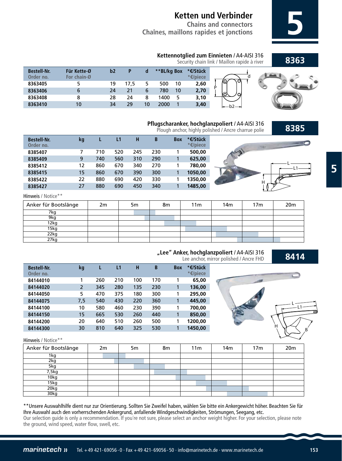**Chains and connectors Chaînes, maillons rapides et jonctions 5**

### **8363**



| <b>Bestell-Nr.</b><br>Order no. | Für Kette-Ø<br>For chain-Ø | b2 |      |    | **BL/kg Box |    | *€/Stück<br>*€/piece |         |  |
|---------------------------------|----------------------------|----|------|----|-------------|----|----------------------|---------|--|
| 8363405                         |                            | 19 | 17,5 |    | 500         | 10 | 2,60                 | .U<br>N |  |
| 8363406                         |                            | 24 | 21   |    | 780         | 10 | 2,70                 |         |  |
| 8363408                         |                            | 28 | 24   |    | 1400        |    | 3,10                 |         |  |
| 8363410                         | 10                         | 34 | 29   | 10 | 2000        |    | 3,40                 |         |  |
|                                 |                            |    |      |    |             |    |                      |         |  |



L L1

H

B

### **Pflugscharanker, hochglanzpoliert** / A4-AISI 316

Plough anchor, highly polished / Ancre charrue polie



Hinweis / Notice\*\*

| Anker für Bootslänge | 2m | 5m | 8m | 11 <sub>m</sub> | 14 <sub>m</sub> | 17 <sub>m</sub> | 20 <sub>m</sub> |
|----------------------|----|----|----|-----------------|-----------------|-----------------|-----------------|
| 7kg                  |    |    |    |                 |                 |                 |                 |
| 9kg                  |    |    |    |                 |                 |                 |                 |
| 12kg                 |    |    |    |                 |                 |                 |                 |
| 15kg                 |    |    |    |                 |                 |                 |                 |
| 22kg                 |    |    |    |                 |                 |                 |                 |
| 27kg                 |    |    |    |                 |                 |                 |                 |



### **8414 "Lee" Anker, hochglanzpoliert** / A4-AISI 316

Lee anchor, mirror polished / Ancre FHD

L1 L

H

B

| <b>Bestell-Nr.</b><br>Order no. | kg  |     | L1  | н   | B   | <b>Box</b> | *€/Stück<br>*€/piece |
|---------------------------------|-----|-----|-----|-----|-----|------------|----------------------|
| 84144010                        |     | 260 | 210 | 100 | 170 | 1          | 65,00                |
| 84144020                        | 2   | 345 | 280 | 135 | 230 | 1          | 136,00               |
| 84144050                        | 5   | 470 | 375 | 180 | 300 | 1          | 295,00               |
| 84144075                        | 7,5 | 540 | 430 | 220 | 360 | 1          | 445,00               |
| 84144100                        | 10  | 580 | 460 | 230 | 390 | 1          | 700.00               |
| 84144150                        | 15  | 665 | 530 | 260 | 440 | 1          | 850.00               |
| 84144200                        | 20  | 640 | 510 | 260 | 500 | 1          | 1200.00              |
| 84144300                        | 30  | 810 | 640 | 325 | 530 | 1          | 1450.00              |

Hinweis / Notice\*\*

| Anker für Bootslänge | 2m | 5m | 8m | 11 <sub>m</sub> | 14 <sub>m</sub> | 17 <sub>m</sub> | 20m |
|----------------------|----|----|----|-----------------|-----------------|-----------------|-----|
| 1kg                  |    |    |    |                 |                 |                 |     |
| 2kg                  |    |    |    |                 |                 |                 |     |
| 5kg                  |    |    |    |                 |                 |                 |     |
| 7,5kg                |    |    |    |                 |                 |                 |     |
| 10kg                 |    |    |    |                 |                 |                 |     |
| 15kg                 |    |    |    |                 |                 |                 |     |
| 20kg                 |    |    |    |                 |                 |                 |     |
| 30kg                 |    |    |    |                 |                 |                 |     |

\*\*Unsere Auswahlhilfe dient nur zur Orientierung. Sollten Sie Zweifel haben, wählen Sie bitte ein Ankergewicht höher. Beachten Sie für Ihre Auswahl auch den vorherrschenden Ankergrund, anfallende Windgeschwindigkeiten, Strömungen, Seegang, etc. Our selection guide is only a recommendation. If you´re not sure, please select an anchor weight higher. For your selection, please note the ground, wind speed, water flow, swell, etc.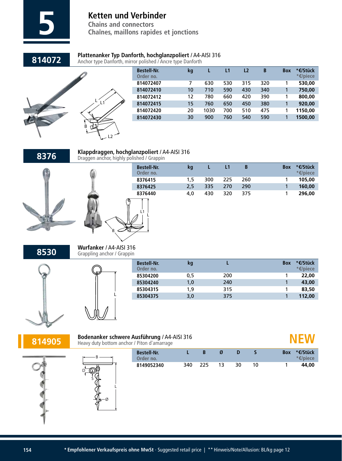

**Chaînes, maillons rapides et jonctions** 

## **814072 Plattenanker Typ Danforth, hochglanzpoliert** / A4-AISI 316<br>Anchor type Danforth, mirror polished / Ancre type Danforth

Anchor type Danforth, mirror polished / Ancre type Danforth



| <b>Bestell-Nr.</b><br>Order no. | kg |      |     | L2  | B   | <b>Box</b> | *€/Stück<br>*€/piece |
|---------------------------------|----|------|-----|-----|-----|------------|----------------------|
| 814072407                       | 7  | 630  | 530 | 315 | 320 |            | 530.00               |
| 814072410                       | 10 | 710  | 590 | 430 | 340 | 1          | 750,00               |
| 814072412                       | 12 | 780  | 660 | 420 | 390 | 1          | 800,00               |
| 814072415                       | 15 | 760  | 650 | 450 | 380 |            | 920,00               |
| 814072420                       | 20 | 1030 | 700 | 510 | 475 | 1          | 1150.00              |
| 814072430                       | 30 | 900  | 760 | 540 | 590 |            | 1500.00              |
|                                 |    |      |     |     |     |            |                      |

**8376**



**Klappdraggen, hochglanzpoliert** / A4-AISI 316 Draggen anchor, highly polished / Grappin

> L1 L

|    | <b>Bestell-Nr.</b><br>Order no. | kq  |     | L1  | B   | <b>Box</b> | *€/Stück<br>*€/piece |
|----|---------------------------------|-----|-----|-----|-----|------------|----------------------|
|    | 8376415                         | 1.5 | 300 | 225 | 260 |            | 105,00               |
|    | 8376425                         | 2,5 | 335 | 270 | 290 |            | 160,00               |
|    | 8376440                         | 4.0 | 430 | 320 | 375 |            | 296,00               |
| 'M |                                 |     |     |     |     |            |                      |

**8530**

**Wurfanker** / A4-AISI 316 Grappling anchor / Grappin

B

L



| <b>Bestell-Nr.</b><br>Order no. | kq  |     | <b>Box</b> | *€/Stück<br>*€/piece |
|---------------------------------|-----|-----|------------|----------------------|
| 85304200                        | 0.5 | 200 |            | 22,00                |
| 85304240                        | 1.0 | 240 |            | 43,00                |
| 85304315                        | 1.9 | 315 |            | 83,50                |
| 85304375                        | 3,0 | 375 |            | 112,00               |
|                                 |     |     |            |                      |

**814905**

| Bodenanker schwere Ausführung / A4-AISI 316 |
|---------------------------------------------|
| Heavy duty bottom anchor / Piton d'amarrage |

| nor / Piton a amarrage          |     |     |    |     |            |          |  |
|---------------------------------|-----|-----|----|-----|------------|----------|--|
| <b>Bestell-Nr.</b><br>Order no. |     |     |    |     | <b>Box</b> | *€/Stück |  |
| 8149052340                      | 340 | 225 | 30 | 10. |            | 44.00    |  |

 **NEW**



|   | duty bottom anchor / Piton d amarrage |
|---|---------------------------------------|
|   | <b>Bestell-Nr.</b><br>Order no.       |
| ξ | 8149052340                            |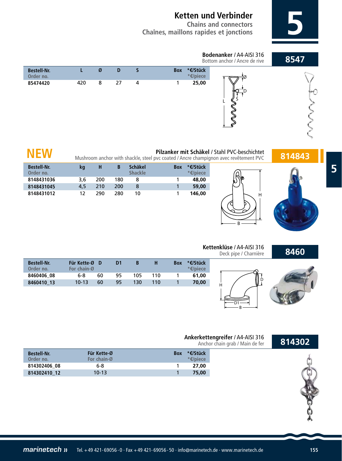**Chains and connectors Chaînes, maillons rapides et jonctions 5**



# **Pilzanker mit Schäkel / Stahl PVC-beschichtet**<br>Mushroom anchor with shackle, steel pvc coated / Ancre champignon avec revêtement PVC **814843**

| <b>Bestell-Nr.</b><br>Order no. | kq  | н   | В   | Schäkel<br><b>Shackle</b> | <b>Box</b> | *€/Stück<br>*€/piece* |
|---------------------------------|-----|-----|-----|---------------------------|------------|-----------------------|
| 8148431036                      | 3.6 | 200 | 180 | 8                         |            | 48,00                 |
| 8148431045                      | 4.5 | 210 | 200 | 8                         |            | 59,00                 |
| 8148431012                      | 12  | 290 | 280 | 10                        |            | 146,00                |

 **NEW**

### **8460**

### **Kettenklüse** / A4-AISI 316 Deck pipe / Charnière

B

H

| <b>Bestell-Nr.</b><br>Order no. | Für Kette-ØD<br>For chain-Ø |    | D1 |     | н   | <b>Box</b> | *€/Stück<br>*€/piece |
|---------------------------------|-----------------------------|----|----|-----|-----|------------|----------------------|
| 8460406 08                      | 6-8                         | 60 | 95 | 105 | 110 |            | 61.00                |
| 8460410 13                      | $10-13$                     | 60 | 95 | 130 | 110 |            | 70,00                |
|                                 |                             |    |    |     |     |            |                      |



### H D1 B D

### **Ankerkettengreifer** / A4-AISI 316 Anchor chain grab / Main de fer

| <b>Bestell-Nr.</b><br>Order no. | Für Kette-Ø<br>For chain-Ø | *€/Stück<br><b>Box</b><br>$*$ $\epsilon$ /piece |  |
|---------------------------------|----------------------------|-------------------------------------------------|--|
| 814302406 08                    | 6-8                        | 27.00                                           |  |
| 814302410 12                    | $10-13$                    | 75,00                                           |  |





**814302**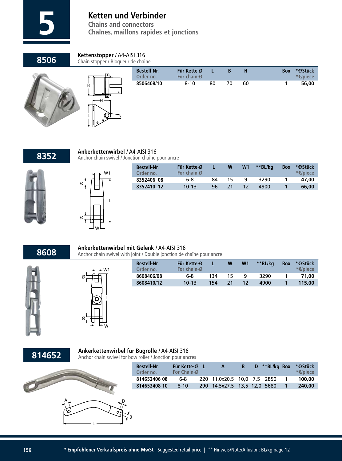

**Chaînes, maillons rapides et jonctions** 

**8506**

### **Kettenstopper** / A4-AISI 316

Chain stopper / Bloqueur de chaîne

|--|

| Ð                  |
|--------------------|
| $\dot{\mathsf{B}}$ |
| è<br>ভ             |
|                    |
| L                  |
| đ<br>¢             |

|           | <b>Bestell-Nr.</b><br>Order no. | Für Kette-Ø<br>For chain-Ø |    | B  | н  | <b>Box</b> | *€/Stück<br>*€/piece |
|-----------|---------------------------------|----------------------------|----|----|----|------------|----------------------|
| $\bullet$ | 8506408/10                      | $8 - 10$                   | 80 | 70 | 60 |            | 56,00                |
|           |                                 |                            |    |    |    |            |                      |



## **8352 Ankerkettenwirbel** / A4-AISI 316<br>**8352** Anchor chain swivel / Jonction chaîne pour ancre

L

W1

Ø

Ø

| <b>Bestell-Nr.</b><br>Order no. | Für Kette-Ø<br>For chain-Ø |    | W   | W <sub>1</sub> | **BL/ka | <b>Box</b> | *€/Stück<br>*€/piece |
|---------------------------------|----------------------------|----|-----|----------------|---------|------------|----------------------|
| 8352406 08                      | 6-8                        | 84 | 15. | q              | 3290    |            | 47.00                |
| 8352410 12                      | $10-13$                    | 96 |     | 12             | 4900    |            | 66,00                |
|                                 |                            |    |     |                |         |            |                      |

**8608**





W

### **Ankerkettenwirbel mit Gelenk** / A4-AISI 316 Anchor chain swivel with joint / Double jonction de chaîne pour ancre

| <b>Bestell-Nr.</b><br>Order no. | Für Kette-Ø<br>For chain-Ø |     | W  | W <sub>1</sub> | **BL/ka | <b>Box</b> | *€/Stück<br>*€/piece |
|---------------------------------|----------------------------|-----|----|----------------|---------|------------|----------------------|
| 8608406/08                      | 6-8                        | 134 | 15 | Q              | 3290    |            | 71.00                |
| 8608410/12                      | $10 - 13$                  | 154 |    |                | 4900    |            | 115.00               |

### **814652**

### **Ankerkettenwirbel für Bugrolle** / A4-AISI 316

Anchor chain swivel for bow roller / Jonction pour ancres

| <b>Bestell-Nr.</b><br>Order no. | Für Kette-Ø<br>For Chain-Ø | A                            | -B | D **BL/kg Box | *€/Stück<br>*€/piece |
|---------------------------------|----------------------------|------------------------------|----|---------------|----------------------|
| 814652406 08                    | 6-8                        | 220 11,0x20,5 10,0 7,5 2850  |    |               | 100,00               |
| 814652408 10                    | $8 - 10$                   | 290 14,5x27,5 13,5 12,0 5680 |    |               | 240,00               |

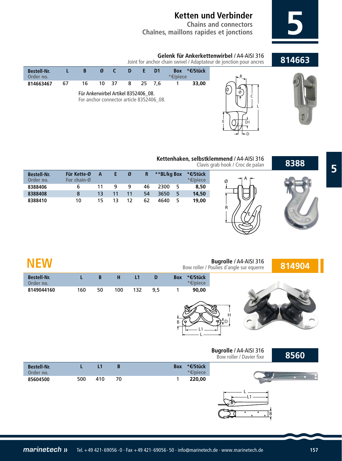**Chains and connectors Chaînes, maillons rapides et jonctions 5**

### **814663**

**8388**





Joint for anchor chain swivel / Adaptateur de jonction pour ancres



### **Kettenhaken, selbstklemmend** / A4-AISI 316 Clavis grab hook / Croc de palan

E

R

 $\varnothing$   $\rightarrow$  A

D

E

D1

| <b>Bestell-Nr.</b><br>Order no. | Für Kette-Ø<br>For chain-Ø | А  | Ŀ. | Ø  | R  | **BL/kg Box | *€/Stück<br>*€/piece |
|---------------------------------|----------------------------|----|----|----|----|-------------|----------------------|
| 8388406                         | 6                          | 11 | q  | q  | 46 | 5<br>2300   | 8,50                 |
| 8388408                         | 8                          | 13 | 11 | 11 | 54 | 5<br>3650   | 14,50                |
| 8388410                         | 10                         | 15 | 13 | 12 | 62 | 5<br>4640   | 19,00                |

| <b>NEW</b>                      |     |             |              |     |     |        |                      | Bugrolle / A4-AISI 316<br>Bow roller / Poulies d'angle sur equerre | 814904 |
|---------------------------------|-----|-------------|--------------|-----|-----|--------|----------------------|--------------------------------------------------------------------|--------|
| <b>Bestell-Nr.</b><br>Order no. | L   | $\mathbf B$ | H            | L1  | D   | Box    | *€/Stück<br>*€/piece |                                                                    |        |
| 8149044160                      | 160 | 50          | 100          | 132 | 9,5 | 1<br>B | 90,00                | $\mathsf{H}$                                                       |        |
|                                 |     |             |              |     |     |        |                      | Bugrolle / A4-AISI 316<br>Bow roller / Davier fixe                 | 8560   |
| <b>Bestell-Nr.</b><br>Order no. | L   | L1          | $\, {\bf B}$ |     |     | Box    | *€/Stück<br>*€/piece |                                                                    |        |
| 85604500                        | 500 | 410         | 70           |     |     | 1      | 220,00               |                                                                    |        |
|                                 |     |             |              |     |     |        |                      | $\circ$<br>$\circ$<br>B<br>$\circ$<br>$\circ$                      |        |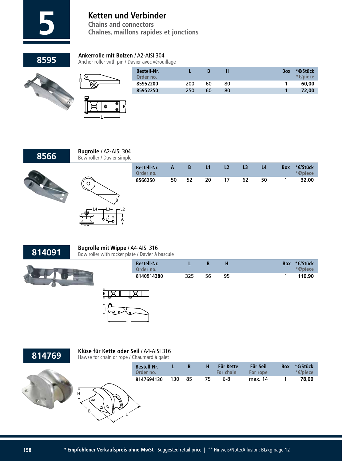

**Chains and connectors 5 Chaînes, maillons rapides et jonctions**

**8595**

### **Ankerrolle mit Bolzen** / A2-AISI 304

Anchor roller with pin / Davier avec vérouillage



|  |   | 9 |   |  |
|--|---|---|---|--|
|  | œ | c | B |  |
|  |   |   |   |  |
|  |   |   |   |  |
|  |   |   |   |  |

 $\frac{1}{2}$ 

| <b>Bestell-Nr.</b><br>Order no. |     |    |    | <b>Box</b> | *€/Stück<br>*€/piece |
|---------------------------------|-----|----|----|------------|----------------------|
| 85952200                        | 200 | 60 | 80 |            | 60,00                |
| 85952250                        | 250 | 60 | 80 |            | 72,00                |
|                                 |     |    |    |            |                      |



**Bugrolle** / A2-AISI 304 Bow roller / Davier simple





|                                   | <b>Bestell-Nr.</b><br>Order no. | A  | B  | L1 | L2 | L <sub>3</sub> | L <sub>4</sub> | <b>Box</b> | *€/Stück<br>*€/piece |  |
|-----------------------------------|---------------------------------|----|----|----|----|----------------|----------------|------------|----------------------|--|
|                                   | 8566250                         | 50 | 52 | 20 | 17 | 62             | 50             |            | 32,00                |  |
| B                                 |                                 |    |    |    |    |                |                |            |                      |  |
| $3 - 1$<br>$-L2$<br>ᡃᡇ<br>A<br>⊦ō |                                 |    |    |    |    |                |                |            |                      |  |

**814091**

### **Bugrolle mit Wippe** / A4-AISI 316 Bow roller with rocker plate / Davier à bascule



| <b>Bestell-Nr.</b><br>Order no. |     |    |    | *€/Stück<br><b>Box</b><br>*€/piece* |
|---------------------------------|-----|----|----|-------------------------------------|
| 8140914380                      | 325 | 56 | 95 | 110.90                              |



### H B L  **L B H Für Kette Für Seil Box \*€/Stück For chain** 130 85 75 6-8 max. 14 1 **78,00 Bestell-Nr. Order no. 8147694130 814769** Klüse für Kette oder Seil / A4-AISI 316<br>Hawse for chain or rope / Chaumard à galet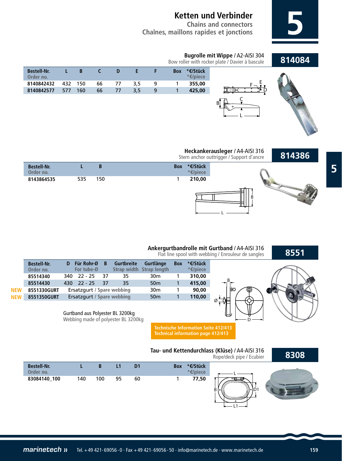**Chains and connectors Chaînes, maillons rapides et jonctions 5**

| Bugrolle mit Wippe / A2-AISI 304                |        |
|-------------------------------------------------|--------|
| Bow roller with rocker plate / Davier à bascule | 814084 |





**814386**









## **Ankergurtbandrolle mit Gurtband** / A4-AISI 316

B Ø **8551 D Für Rohr-Ø B Gurtbreite Gurtlänge Box \*€/Stück Strap width Strap length** 340 22 - 25 37 35 30m 1 **310,00** 430 22 - 25 37 35 50m 1 **415,00** Ersatzgurt **/ Spare webbing** 30m 1 **90,00** Ersatzgurt / Spare webbing 50m 1 **110,00 Bestell-Nr. Order no. 85514340 85514430 8551330GURT 8551350GURT** Flat line spool with webbing / Enrouleur de sangles **NEW NEW**

### Gurtband aus Polyester BL 3200kg

**Bestell-Nr. Order no. 8143864535**

Webbing made of polyester BL 3200kg

**Technische Information Seite 412/413 Technical information page 412/413**



D